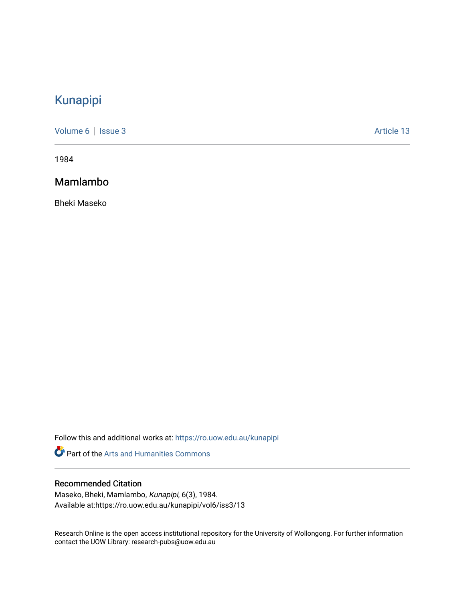# [Kunapipi](https://ro.uow.edu.au/kunapipi)

[Volume 6](https://ro.uow.edu.au/kunapipi/vol6) | [Issue 3](https://ro.uow.edu.au/kunapipi/vol6/iss3) Article 13

1984

Mamlambo

Bheki Maseko

Follow this and additional works at: [https://ro.uow.edu.au/kunapipi](https://ro.uow.edu.au/kunapipi?utm_source=ro.uow.edu.au%2Fkunapipi%2Fvol6%2Fiss3%2F13&utm_medium=PDF&utm_campaign=PDFCoverPages)

Part of the [Arts and Humanities Commons](http://network.bepress.com/hgg/discipline/438?utm_source=ro.uow.edu.au%2Fkunapipi%2Fvol6%2Fiss3%2F13&utm_medium=PDF&utm_campaign=PDFCoverPages) 

#### Recommended Citation

Maseko, Bheki, Mamlambo, Kunapipi, 6(3), 1984. Available at:https://ro.uow.edu.au/kunapipi/vol6/iss3/13

Research Online is the open access institutional repository for the University of Wollongong. For further information contact the UOW Library: research-pubs@uow.edu.au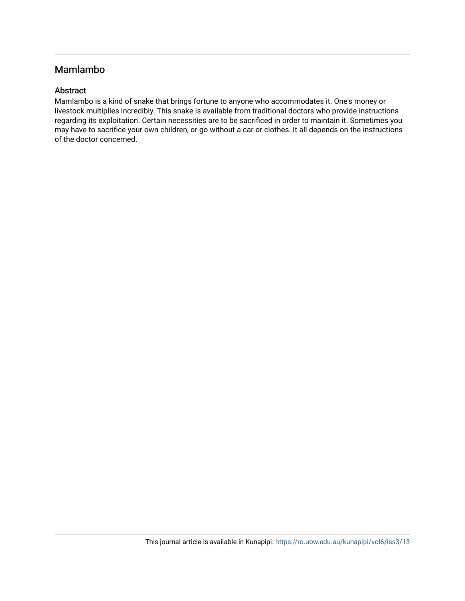## Mamlambo

### Abstract

Mamlambo is a kind of snake that brings fortune to anyone who accommodates it. One's money or livestock multiplies incredibly. This snake is available from traditional doctors who provide instructions regarding its exploitation. Certain necessities are to be sacrificed in order to maintain it. Sometimes you may have to sacrifice your own children, or go without a car or clothes. It all depends on the instructions of the doctor concerned.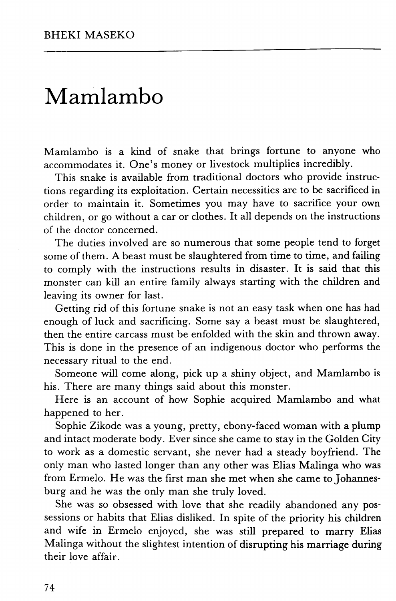# Mamlambo

Mamlambo is a kind of snake that brings fortune to anyone who accommodates it. One's money or livestock multiplies incredibly.

This snake is available from traditional doctors who provide instructions regarding its exploitation. Certain necessities are to be sacrificed in order to maintain it. Sometimes you may have to sacrifice your own children, or go without a car or clothes. It all depends on the instructions of the doctor concerned.

The duties involved are so numerous that some people tend to forget some of them. A beast must be slaughtered from time to time, and failing to comply with the instructions results in disaster. It is said that this monster can kill an entire family always starting with the children and leaving its owner for last.

Getting rid of this fortune snake is not an easy task when one has had enough of luck and sacrificing. Some say a beast must be slaughtered, then the entire carcass must be enfolded with the skin and thrown away. This is done in the presence of an indigenous doctor who performs the necessary ritual to the end.

Someone will come along, pick up a shiny object, and Mamlambo is his. There are many things said about this monster.

Here is an account of how Sophie acquired Mamlambo and what happened to her.

Sophie Zikode was a young, pretty, ebony-faced woman with a plump and intact moderate body. Ever since she came to stay in the Golden City to work as a domestic servant, she never had a steady boyfriend. The only man who lasted longer than any other was Elias Malinga who was from Ermelo. He was the first man she met when she came to Johannesburg and he was the only man she truly loved.

She was so obsessed with love that she readily abandoned any possessions or habits that Elias disliked. In spite of the priority his children and wife in Ermelo enjoyed, she was still prepared to marry Elias Malinga without the slightest intention of disrupting his marriage during their love affair.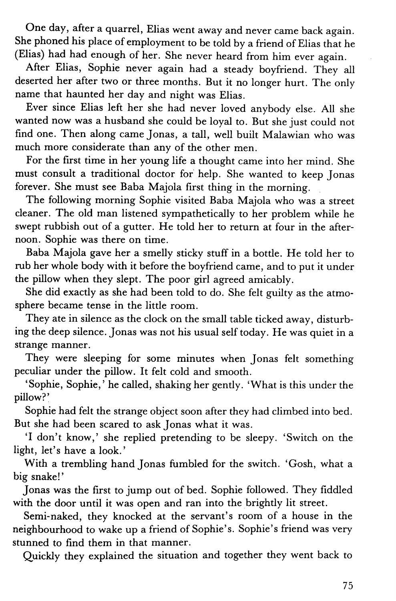One day, after a quarrel, Elias went away and never came back again. She phoned his place of employment to be told by a friend of Elias that he (Elias) had had enough of her. She never heard from him ever again.

After Elias, Sophie never again had a steady boyfriend. They all deserted her after two or three months. But it no longer hurt. The only name that haunted her day and night was Elias.

Ever since Elias left her she had never loved anybody else. All she wanted now was a husband she could be loyal to. But she just could not find one. Then along came Jonas, a tall, well built Malawian who was much more considerate than any of the other men.

For the first time in her young life a thought came into her mind. She must consult a traditional doctor for help. She wanted to keep Jonas forever. She must see Baba Majola first thing in the morning.

The following morning Sophie visited Baba Majóla who was a street cleaner. The old man listened sympathetically to her problem while he swept rubbish out of a gutter. He told her to return at four in the afternoon. Sophie was there on time.

Baba Majóla gave her a smelly sticky stuff in a bottle. He told her to rub her whole body with it before the boyfriend came, and to put it under the pillow when they slept. The poor girl agreed amicably.

She did exactly as she had been told to do. She felt guilty as the atmosphere became tense in the little room.

They ate in silence as the clock on the small table ticked away, disturbing the deep silence. Jonas was not his usual self today. He was quiet in a strange manner.

They were sleeping for some minutes when Jonas felt something peculiar under the pillow. It felt cold and smooth.

'Sophie, Sophie,' he called, shaking her gently. 'What is this under the pillow?'

Sophie had felt the strange object soon after they had climbed into bed. But she had been scared to ask Jonas what it was.

'I don't know,' she replied pretending to be sleepy. 'Switch on the light, let's have a look.'

With a trembling hand Jonas fumbled for the switch. 'Gosh, what a big snake!'

Jonas was the first to jump out of bed. Sophie followed. They fiddled with the door until it was open and ran into the brightly lit street.

Semi-naked, they knocked at the servant's room of a house in the neighbourhood to wake up a friend of Sophie's. Sophie's friend was very stunned to find them in that manner.

Quickly they explained the situation and together they went back to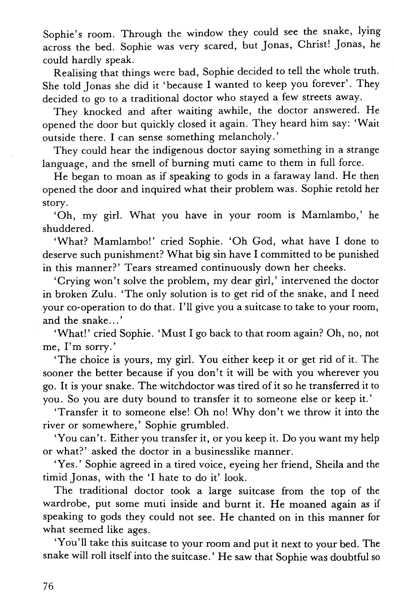Sophie's room. Through the window they could see the snake, lying across the bed. Sophie was very scared, but Jonas, Christ! Jonas, he could hardly speak.

Realising that things were bad, Sophie decided to tell the whole truth. She told Jonas she did it 'because I wanted to keep you forever'. They decided to go to a traditional doctor who stayed a few streets away.

They knocked and after waiting awhile, the doctor answered. He opened the door but quickly closed it again. They heard him say: 'Wait outside there. I can sense something melancholy.'

They could hear the indigenous doctor saying something in a strange language, and the smell of burning muti came to them in full force.

He began to moan as if speaking to gods in a faraway land. He then opened the door and inquired what their problem was. Sophie retold her story.

'Oh, my girl. What you have in your room is Mamlambo,' he shuddered.

'What? Mamlambo!' cried Sophie. 'Oh God, what have I done to deserve such punishment? What big sin have I committed to be punished in this manner?' Tears streamed continuously down her cheeks.

'Crying won't solve the problem, my dear girl,' intervened the doctor in broken Zulu. 'The only solution is to get rid of the snake, and I need your co-operation to do that. I'll give you a suitcase to take to your room, and the snake...'

'What!' cried Sophie. 'Must I go back to that room again? Oh, no, not me, I'm sorry.'

'The choice is yours, my girl. You either keep it or get rid of it. The sooner the better because if you don't it will be with you wherever you go. It is your snake. The witchdoctor was tired of it so he transferred it to you. So you are duty bound to transfer it to someone else or keep it.'

'Transfer it to someone else! Oh no! Why don't we throw it into the river or somewhere,' Sophie grumbled.

'You can't. Either you transfer it, or you keep it. Do you want my help or what?' asked the doctor in a businesslike manner.

'Yes.' Sophie agreed in a tired voice, eyeing her friend. Sheila and the timid Jonas, with the 'I hate to do it' look.

The traditional doctor took a large suitcase from the top of the wardrobe, put some muti inside and burnt it. He moaned again as if speaking to gods they could not see. He chanted on in this manner for what seemed like ages.

'You'll take this suitcase to your room and put it next to your bed. The snake will roll itself into the suitcase.' He saw that Sophie was doubtful so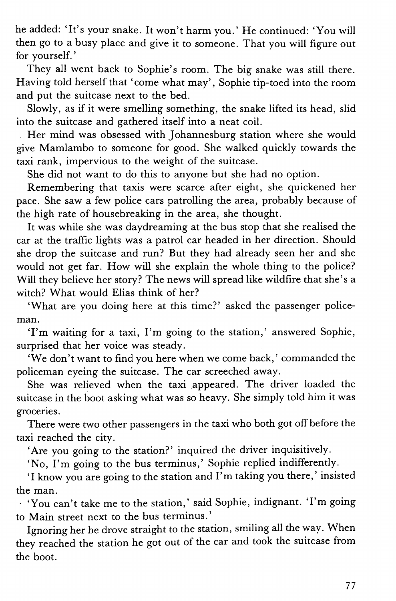**he added: 'It's your snake. It won't harm you.' He continued: 'You will then go to a busy place and give it to someone. That you will figure out for yourself.'** 

**They all went back to Sophie's room. The big snake was still there. Having told herself that 'come what may', Sophie tip-toed into the room and put the suitcase next to the bed.** 

**Slowly, as if it were smelling something, the snake lifted its head, slid into the suitcase and gathered itself into a neat coil.** 

**Her mind was obsessed with Johannesburg station where she would give Mamlambo to someone for good. She walked quickly towards the taxi rank, impervious to the weight of the suitcase.** 

**She did not want to do this to anyone but she had no option.** 

**Remembering that taxis were scarce after eight, she quickened her pace. She saw a few police cars patrolling the area, probably because of the high rate of housebreaking in the area, she thought.** 

**It was while she was daydreaming at the bus stop that she realised the car at the traffic lights was a patrol car headed in her direction. Should she drop the suitcase and run? But they had already seen her and she would not get far. How will she explain the whole thing to the police? Will they believe her story? The news will spread like wildfire that she's a witch? What would Elias think of her?** 

**'What are you doing here at this time?' asked the passenger policeman,** 

**'I'm waiting for a taxi, I'm going to the station,' answered Sophie, surprised that her voice was steady.** 

**'We don't want to find you here when we come back,' commanded the policeman eyeing the suitcase. The car screeched away.** 

She was relieved when the taxi appeared. The driver loaded the **suitcase in the boot asking what was so heavy. She simply told him it was groceries.** 

**There were two other passengers in the taxi who both got off before the taxi reached the city.** 

**'Are you going to the station?' inquired the driver inquisitively.** 

**'No, I'm going to the bus terminus,' Sophie replied indifferently.** 

**'I know you are going to the station and I'm taking you there,' insisted the man.** 

**'You can't take me to the station,' said Sophie, indignant. 'I'm going to Main street next to the bus terminus.'** 

**Ignoring her he drove straight to the station, smiling all the way. When they reached the station he got out of the car and took the suitcase from the boot.**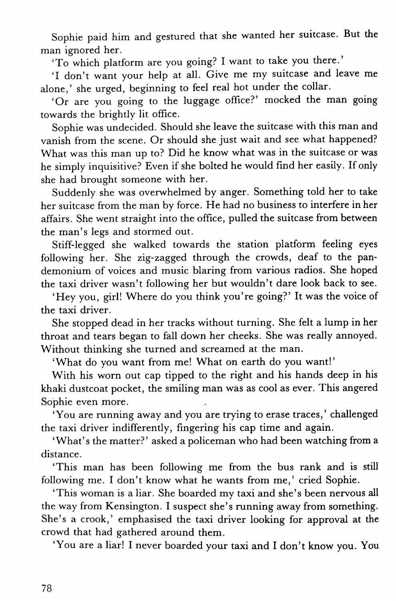Sophie paid him and gestured that she wanted her suitcase. But the man ignored her.

'To which platform are you going? I want to take you there.'

'I don't want your help at all. Give me my suitcase and leave me alone,' she urged, beginning to feel real hot under the collar.

'Or are you going to the luggage office?' mocked the man going towards the brightly lit office.

Sophie was undecided. Should she leave the suitcase with this man and vanish from the scene. Or should she just wait and see what happened? What was this man up to? Did he know what was in the suitcase or was he simply inquisitive? Even if she bolted he would find her easily. If only she had brought someone with her.

Suddenly she was overwhelmed by anger. Something told her to take her suitcase from the man by force. He had no business to interfere in her affairs. She went straight into the office, pulled the suitcase from between the man's legs and stormed out.

Stiff-legged she walked towards the station platform feeling eyes following her. She zig-zagged through the crowds, deaf to the pandemonium of voices and music blaring from various radios. She hoped the taxi driver wasn't following her but wouldn't dare look back to see.

'Hey you, girl! Where do you think you're going?' It was the voice of the taxi driver.

She stopped dead in her tracks without turning. She felt a lump in her throat and tears began to fall down her cheeks. She was really annoyed. Without thinking she turned and screamed at the man.

'What do you want from me! What on earth do you want!'

With his worn out cap tipped to the right and his hands deep in his khaki dustcoat pocket, the smiling man was as cool as ever. This angered Sophie even more.

 $\sqrt{\ }$ You are running away and you are trying to erase traces,' challenged the taxi driver indifferently, fingering his cap time and again.

'What's the matter?' asked a policeman who had been watching from a distance.

'This man has been following me from the bus rank and is still following me. I don't know what he wants from me,' cried Sophie.

'This woman is a liar. She boarded my taxi and she's been nervous all the way from Kensington. I suspect she's running away from something. She's a crook,' emphasised the taxi driver looking for approval at the crowd that had gathered around them.

'You are a liar! I never boarded your taxi and I don't know you. You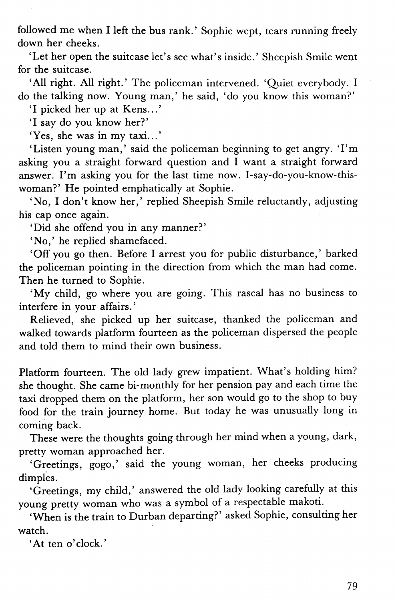followed me when I left the bus rank.' Sophie wept, tears running freely down her cheeks.

'Let her open the suitcase let's see what's inside.' Sheepish Smile went for the suitcase.

'All right. All right.' The policeman intervened. 'Quiet everybody. I do the talking now. Young man,' he said, 'do you know this woman?'

'I picked her up at Kens...'

'I say do you know her?'

'Yes, she was in my taxi...'

'Listen young man,' said the policeman beginning to get angry. 'I'm asking you a straight forward question and I want a straight forward answer. I'm asking you for the last time now. I-say-do-you-know-thiswoman?' He pointed emphatically at Sophie.

'No, I don't know her,' replied Sheepish Smile reluctantly, adjusting his cap once again.

'Did she offend you in any manner?'

'No,' he replied shamefaced.

'Off you go then. Before I arrest you for public disturbance,' barked the policeman pointing in the direction from which the man had come. Then he turned to Sophie.

'My child, go where you are going. This rascal has no business to interfere in your affairs.'

Relieved, she picked up her suitcase, thanked the policeman and walked towards platform fourteen as the policeman dispersed the people and told them to mind their own business.

Platform fourteen. The old lady grew impatient. What's holding him? she thought. She came bi-monthly for her pension pay and each time the taxi dropped them on the platform, her son would go to the shop to buy food for the train journey home. But today he was unusually long in coming back.

These were the thoughts going through her mind when a young, dark, pretty woman approached her.

'Greetings, gogo,' said the young woman, her cheeks producing

dimples.<br>'Greetings, my child,' answered the old lady looking carefully at this young pretty woman who was a symbol of a respectable makoti. young pretty woman who was a symbol of a respectable makoti.

When is the train to Durban departing?' asked  $S_{\text{c}}$ watch. 'At ten o'clock.'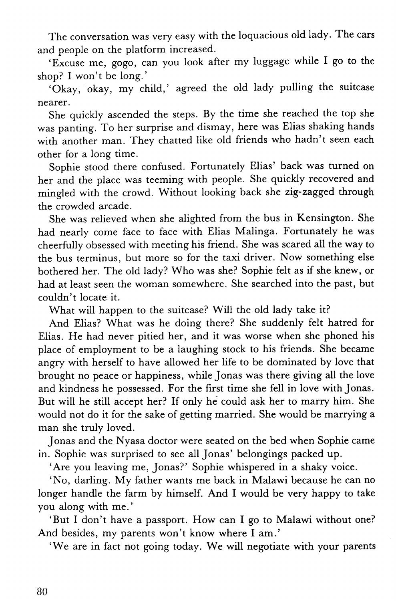The conversation was very easy with the loquacious old lady. The cars and people on the platform increased.

'Excuse me, gogo, can you look after my luggage while I go to the shop: I won't be long.

'Okay, okay, my child,' agreed the old lady pulling the suitcase

nearer.<br>She quickly ascended the steps. By the time she reached the top she was panting. To her surprise and dismay, here was Elias shaking hands was painting. To her surprise  $\frac{1}{2}$  in  $\frac{1}{2}$  in  $\frac{1}{2}$  is and dismay, here who hadn't seen each with another man. They chatted like old friends who had other for a long time.<br>Sophie stood there confused. Fortunately Elias' back was turned on

her and the place was teeming with people. She quickly recovered and her and the place was teeming with people. She quickly recovered and mingled with the crowd. Without looking back she zig-zagged through the crowded arcade.<br>She was relieved when she alighted from the bus in Kensington. She

had nearly come face to face with Elias Malinga. Fortunately he was cheerfully obsessed with meeting his friend. She was scared all the way to the bus terminus, but more so for the taxi driver. Now something else bothered her. The old lady? Who was she? Sophie felt as if she knew, or bothered her. The old lady? Who was she knew,  $\mathcal{S}$  is a sheared into the most, but had at least seen the woman somewhere. She searched into the past, but couldn't locate it.<br>What will happen to the suitcase? Will the old lady take it?

And Elias? What was he doing there? She suddenly felt hatred for Elias. He had never pitied her, and it was worse when she phoned his place of employment to be a laughing stock to his friends. She became angry with herself to have allowed her life to be dominated by love that brought no peace or happiness, while Jonas was there giving all the love and kindness he possessed. For the first time she fell in love with Jonas. But will he still accept her? If only he could ask her to marry him. She  $B_{\text{u}}$  is the still accept her? If only he could ask her to marry him. She would not do it for the sake of gotting married. She would be marrying a man she truly loved.<br>Jonas and the Nyasa doctor were seated on the bed when Sophie came

in. Sophie was surprised to see all Jonas' belongings packed up.

'Are you leaving me, Jonas?' Sophie whispered in a shaky voice.

'No, darling. My father wants me back in Malawi because he can no 'No, darling. My father wants me back in Malawi because he can no longer handle the farm by himself. And I would be very happy to take you along with me.'

'But I don't have a passport. How can I go to Malawi without one? And besides, my parents won't know where I am.'

'We are in fact not going today. We will negotiate with your parents